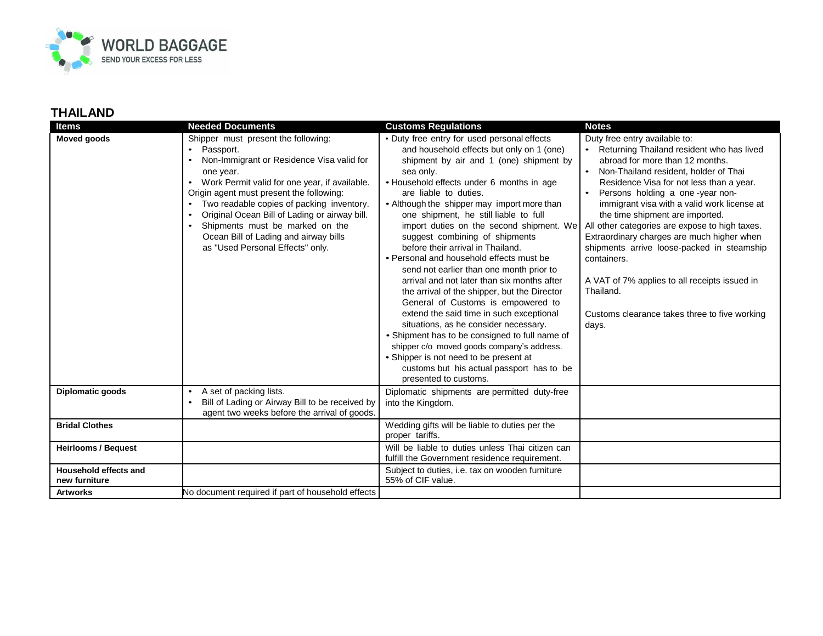

| <b>Items</b>                           | <b>Needed Documents</b>                                                                                                                                                                                                                                                                                                                                                                                                                                                                | <b>Customs Regulations</b>                                                                                                                                                                                                                                                                                                                                                                                                                                                                                                                                                                                                                                                                                                                                                                                                                                                                                                                                          | <b>Notes</b>                                                                                                                                                                                                                                                                                                                                                                                                                                                                                                                                                                                                     |
|----------------------------------------|----------------------------------------------------------------------------------------------------------------------------------------------------------------------------------------------------------------------------------------------------------------------------------------------------------------------------------------------------------------------------------------------------------------------------------------------------------------------------------------|---------------------------------------------------------------------------------------------------------------------------------------------------------------------------------------------------------------------------------------------------------------------------------------------------------------------------------------------------------------------------------------------------------------------------------------------------------------------------------------------------------------------------------------------------------------------------------------------------------------------------------------------------------------------------------------------------------------------------------------------------------------------------------------------------------------------------------------------------------------------------------------------------------------------------------------------------------------------|------------------------------------------------------------------------------------------------------------------------------------------------------------------------------------------------------------------------------------------------------------------------------------------------------------------------------------------------------------------------------------------------------------------------------------------------------------------------------------------------------------------------------------------------------------------------------------------------------------------|
| <b>Moved goods</b>                     | Shipper must present the following:<br>Passport.<br>$\bullet$<br>Non-Immigrant or Residence Visa valid for<br>$\bullet$<br>one year.<br>Work Permit valid for one year, if available.<br>Origin agent must present the following:<br>Two readable copies of packing inventory.<br>$\bullet$<br>Original Ocean Bill of Lading or airway bill.<br>$\bullet$<br>Shipments must be marked on the<br>$\bullet$<br>Ocean Bill of Lading and airway bills<br>as "Used Personal Effects" only. | • Duty free entry for used personal effects<br>and household effects but only on 1 (one)<br>shipment by air and 1 (one) shipment by<br>sea only.<br>• Household effects under 6 months in age<br>are liable to duties.<br>• Although the shipper may import more than<br>one shipment, he still liable to full<br>import duties on the second shipment. We<br>suggest combining of shipments<br>before their arrival in Thailand.<br>• Personal and household effects must be<br>send not earlier than one month prior to<br>arrival and not later than six months after<br>the arrival of the shipper, but the Director<br>General of Customs is empowered to<br>extend the said time in such exceptional<br>situations, as he consider necessary.<br>• Shipment has to be consigned to full name of<br>shipper c/o moved goods company's address.<br>• Shipper is not need to be present at<br>customs but his actual passport has to be<br>presented to customs. | Duty free entry available to:<br>• Returning Thailand resident who has lived<br>abroad for more than 12 months.<br>• Non-Thailand resident, holder of Thai<br>Residence Visa for not less than a year.<br>Persons holding a one-year non-<br>immigrant visa with a valid work license at<br>the time shipment are imported.<br>All other categories are expose to high taxes.<br>Extraordinary charges are much higher when<br>shipments arrive loose-packed in steamship<br>containers.<br>A VAT of 7% applies to all receipts issued in<br>Thailand.<br>Customs clearance takes three to five working<br>days. |
| Diplomatic goods                       | A set of packing lists.<br>$\bullet$<br>Bill of Lading or Airway Bill to be received by<br>$\bullet$<br>agent two weeks before the arrival of goods.                                                                                                                                                                                                                                                                                                                                   | Diplomatic shipments are permitted duty-free<br>into the Kingdom.                                                                                                                                                                                                                                                                                                                                                                                                                                                                                                                                                                                                                                                                                                                                                                                                                                                                                                   |                                                                                                                                                                                                                                                                                                                                                                                                                                                                                                                                                                                                                  |
| <b>Bridal Clothes</b>                  |                                                                                                                                                                                                                                                                                                                                                                                                                                                                                        | Wedding gifts will be liable to duties per the<br>proper tariffs.                                                                                                                                                                                                                                                                                                                                                                                                                                                                                                                                                                                                                                                                                                                                                                                                                                                                                                   |                                                                                                                                                                                                                                                                                                                                                                                                                                                                                                                                                                                                                  |
| <b>Heirlooms / Bequest</b>             |                                                                                                                                                                                                                                                                                                                                                                                                                                                                                        | Will be liable to duties unless Thai citizen can<br>fulfill the Government residence requirement.                                                                                                                                                                                                                                                                                                                                                                                                                                                                                                                                                                                                                                                                                                                                                                                                                                                                   |                                                                                                                                                                                                                                                                                                                                                                                                                                                                                                                                                                                                                  |
| Household effects and<br>new furniture |                                                                                                                                                                                                                                                                                                                                                                                                                                                                                        | Subject to duties, i.e. tax on wooden furniture<br>55% of CIF value.                                                                                                                                                                                                                                                                                                                                                                                                                                                                                                                                                                                                                                                                                                                                                                                                                                                                                                |                                                                                                                                                                                                                                                                                                                                                                                                                                                                                                                                                                                                                  |
| <b>Artworks</b>                        | No document required if part of household effects                                                                                                                                                                                                                                                                                                                                                                                                                                      |                                                                                                                                                                                                                                                                                                                                                                                                                                                                                                                                                                                                                                                                                                                                                                                                                                                                                                                                                                     |                                                                                                                                                                                                                                                                                                                                                                                                                                                                                                                                                                                                                  |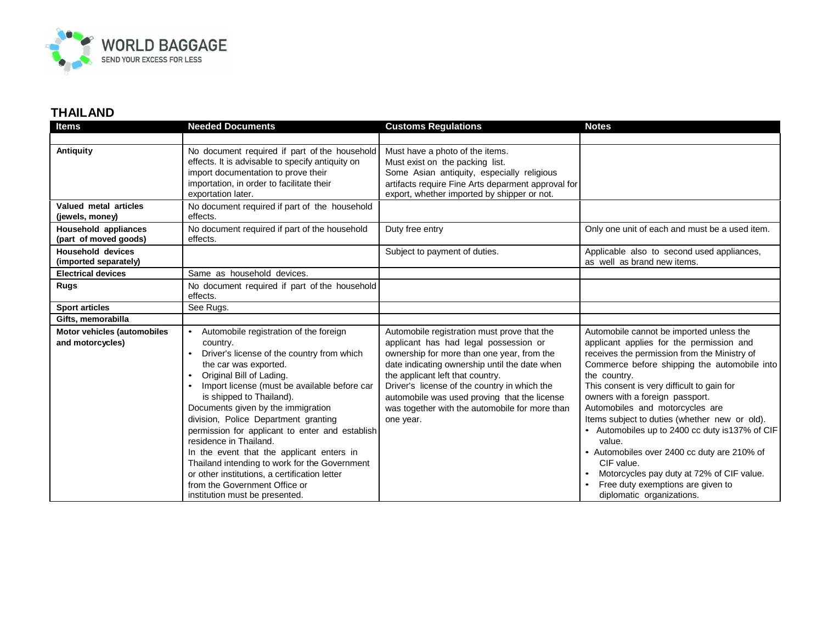

| <b>Items</b>                                           | <b>Needed Documents</b>                                                                                                                                                                                                                                                                                                                                                                                                                                                                                                                                                                                                                  | <b>Customs Regulations</b>                                                                                                                                                                                                                                                                                                                                                             | <b>Notes</b>                                                                                                                                                                                                                                                                                                                                                                                                                                                                                                                                                                                                       |
|--------------------------------------------------------|------------------------------------------------------------------------------------------------------------------------------------------------------------------------------------------------------------------------------------------------------------------------------------------------------------------------------------------------------------------------------------------------------------------------------------------------------------------------------------------------------------------------------------------------------------------------------------------------------------------------------------------|----------------------------------------------------------------------------------------------------------------------------------------------------------------------------------------------------------------------------------------------------------------------------------------------------------------------------------------------------------------------------------------|--------------------------------------------------------------------------------------------------------------------------------------------------------------------------------------------------------------------------------------------------------------------------------------------------------------------------------------------------------------------------------------------------------------------------------------------------------------------------------------------------------------------------------------------------------------------------------------------------------------------|
|                                                        |                                                                                                                                                                                                                                                                                                                                                                                                                                                                                                                                                                                                                                          |                                                                                                                                                                                                                                                                                                                                                                                        |                                                                                                                                                                                                                                                                                                                                                                                                                                                                                                                                                                                                                    |
| <b>Antiquity</b>                                       | No document required if part of the household<br>effects. It is advisable to specify antiquity on<br>import documentation to prove their<br>importation, in order to facilitate their<br>exportation later.                                                                                                                                                                                                                                                                                                                                                                                                                              | Must have a photo of the items.<br>Must exist on the packing list.<br>Some Asian antiquity, especially religious<br>artifacts require Fine Arts deparment approval for<br>export, whether imported by shipper or not.                                                                                                                                                                  |                                                                                                                                                                                                                                                                                                                                                                                                                                                                                                                                                                                                                    |
| Valued metal articles<br>(jewels, money)               | No document required if part of the household<br>effects.                                                                                                                                                                                                                                                                                                                                                                                                                                                                                                                                                                                |                                                                                                                                                                                                                                                                                                                                                                                        |                                                                                                                                                                                                                                                                                                                                                                                                                                                                                                                                                                                                                    |
| Household appliances<br>(part of moved goods)          | No document required if part of the household<br>effects.                                                                                                                                                                                                                                                                                                                                                                                                                                                                                                                                                                                | Duty free entry                                                                                                                                                                                                                                                                                                                                                                        | Only one unit of each and must be a used item.                                                                                                                                                                                                                                                                                                                                                                                                                                                                                                                                                                     |
| <b>Household devices</b><br>(imported separately)      |                                                                                                                                                                                                                                                                                                                                                                                                                                                                                                                                                                                                                                          | Subject to payment of duties.                                                                                                                                                                                                                                                                                                                                                          | Applicable also to second used appliances,<br>as well as brand new items.                                                                                                                                                                                                                                                                                                                                                                                                                                                                                                                                          |
| <b>Electrical devices</b>                              | Same as household devices.                                                                                                                                                                                                                                                                                                                                                                                                                                                                                                                                                                                                               |                                                                                                                                                                                                                                                                                                                                                                                        |                                                                                                                                                                                                                                                                                                                                                                                                                                                                                                                                                                                                                    |
| <b>Rugs</b>                                            | No document required if part of the household<br>effects.                                                                                                                                                                                                                                                                                                                                                                                                                                                                                                                                                                                |                                                                                                                                                                                                                                                                                                                                                                                        |                                                                                                                                                                                                                                                                                                                                                                                                                                                                                                                                                                                                                    |
| <b>Sport articles</b>                                  | See Rugs.                                                                                                                                                                                                                                                                                                                                                                                                                                                                                                                                                                                                                                |                                                                                                                                                                                                                                                                                                                                                                                        |                                                                                                                                                                                                                                                                                                                                                                                                                                                                                                                                                                                                                    |
| Gifts, memorabilla                                     |                                                                                                                                                                                                                                                                                                                                                                                                                                                                                                                                                                                                                                          |                                                                                                                                                                                                                                                                                                                                                                                        |                                                                                                                                                                                                                                                                                                                                                                                                                                                                                                                                                                                                                    |
| <b>Motor vehicles (automobiles</b><br>and motorcycles) | Automobile registration of the foreign<br>$\bullet$<br>country.<br>Driver's license of the country from which<br>the car was exported.<br>Original Bill of Lading.<br>$\bullet$<br>Import license (must be available before car<br>is shipped to Thailand).<br>Documents given by the immigration<br>division, Police Department granting<br>permission for applicant to enter and establish<br>residence in Thailand.<br>In the event that the applicant enters in<br>Thailand intending to work for the Government<br>or other institutions, a certification letter<br>from the Government Office or<br>institution must be presented. | Automobile registration must prove that the<br>applicant has had legal possession or<br>ownership for more than one year, from the<br>date indicating ownership until the date when<br>the applicant left that country.<br>Driver's license of the country in which the<br>automobile was used proving that the license<br>was together with the automobile for more than<br>one year. | Automobile cannot be imported unless the<br>applicant applies for the permission and<br>receives the permission from the Ministry of<br>Commerce before shipping the automobile into<br>the country.<br>This consent is very difficult to gain for<br>owners with a foreign passport.<br>Automobiles and motorcycles are<br>Items subject to duties (whether new or old).<br>• Automobiles up to 2400 cc duty is 137% of CIF<br>value.<br>• Automobiles over 2400 cc duty are 210% of<br>CIF value.<br>Motorcycles pay duty at 72% of CIF value.<br>Free duty exemptions are given to<br>diplomatic organizations. |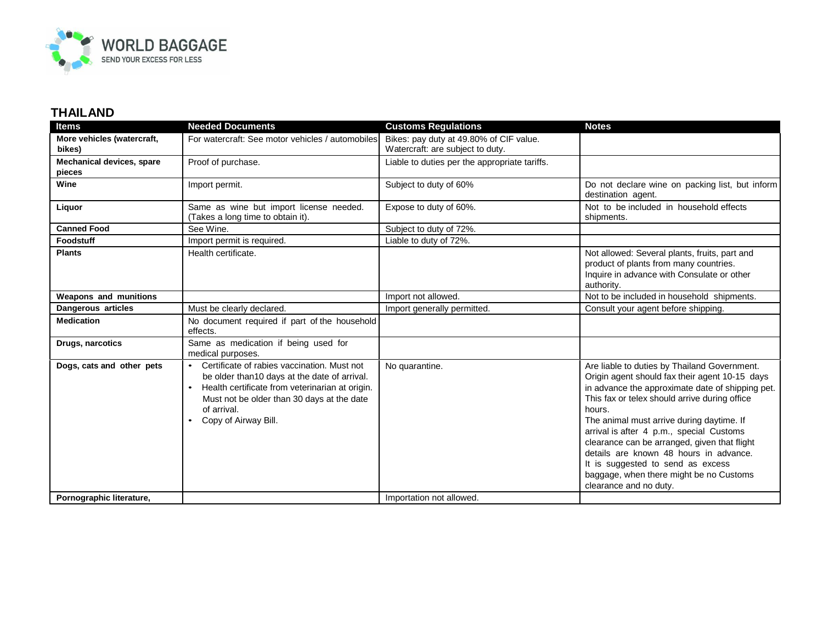

| Items                                      | <b>Needed Documents</b>                                                                                                                                                                                                                               | <b>Customs Regulations</b>                                                  | <b>Notes</b>                                                                                                                                                                                                                                                                                                                                                                                                                                                                                               |
|--------------------------------------------|-------------------------------------------------------------------------------------------------------------------------------------------------------------------------------------------------------------------------------------------------------|-----------------------------------------------------------------------------|------------------------------------------------------------------------------------------------------------------------------------------------------------------------------------------------------------------------------------------------------------------------------------------------------------------------------------------------------------------------------------------------------------------------------------------------------------------------------------------------------------|
| More vehicles (watercraft,<br>bikes)       | For watercraft: See motor vehicles / automobiles                                                                                                                                                                                                      | Bikes: pay duty at 49.80% of CIF value.<br>Watercraft: are subject to duty. |                                                                                                                                                                                                                                                                                                                                                                                                                                                                                                            |
| <b>Mechanical devices, spare</b><br>pieces | Proof of purchase.                                                                                                                                                                                                                                    | Liable to duties per the appropriate tariffs.                               |                                                                                                                                                                                                                                                                                                                                                                                                                                                                                                            |
| Wine                                       | Import permit.                                                                                                                                                                                                                                        | Subject to duty of 60%                                                      | Do not declare wine on packing list, but inform<br>destination agent.                                                                                                                                                                                                                                                                                                                                                                                                                                      |
| Liquor                                     | Same as wine but import license needed.<br>(Takes a long time to obtain it).                                                                                                                                                                          | Expose to duty of 60%.                                                      | Not to be included in household effects<br>shipments.                                                                                                                                                                                                                                                                                                                                                                                                                                                      |
| <b>Canned Food</b>                         | See Wine.                                                                                                                                                                                                                                             | Subject to duty of 72%.                                                     |                                                                                                                                                                                                                                                                                                                                                                                                                                                                                                            |
| Foodstuff                                  | Import permit is required.                                                                                                                                                                                                                            | Liable to duty of 72%.                                                      |                                                                                                                                                                                                                                                                                                                                                                                                                                                                                                            |
| <b>Plants</b>                              | Health certificate.                                                                                                                                                                                                                                   |                                                                             | Not allowed: Several plants, fruits, part and<br>product of plants from many countries.<br>Inquire in advance with Consulate or other<br>authority.                                                                                                                                                                                                                                                                                                                                                        |
| Weapons and munitions                      |                                                                                                                                                                                                                                                       | Import not allowed.                                                         | Not to be included in household shipments.                                                                                                                                                                                                                                                                                                                                                                                                                                                                 |
| Dangerous articles                         | Must be clearly declared.                                                                                                                                                                                                                             | Import generally permitted.                                                 | Consult your agent before shipping.                                                                                                                                                                                                                                                                                                                                                                                                                                                                        |
| <b>Medication</b>                          | No document required if part of the household<br>effects.                                                                                                                                                                                             |                                                                             |                                                                                                                                                                                                                                                                                                                                                                                                                                                                                                            |
| Drugs, narcotics                           | Same as medication if being used for<br>medical purposes.                                                                                                                                                                                             |                                                                             |                                                                                                                                                                                                                                                                                                                                                                                                                                                                                                            |
| Dogs, cats and other pets                  | Certificate of rabies vaccination. Must not<br>$\bullet$<br>be older than10 days at the date of arrival.<br>Health certificate from veterinarian at origin.<br>Must not be older than 30 days at the date<br>of arrival.<br>Copy of Airway Bill.<br>٠ | No quarantine.                                                              | Are liable to duties by Thailand Government.<br>Origin agent should fax their agent 10-15 days<br>in advance the approximate date of shipping pet.<br>This fax or telex should arrive during office<br>hours.<br>The animal must arrive during daytime. If<br>arrival is after 4 p.m., special Customs<br>clearance can be arranged, given that flight<br>details are known 48 hours in advance.<br>It is suggested to send as excess<br>baggage, when there might be no Customs<br>clearance and no duty. |
| Pornographic literature,                   |                                                                                                                                                                                                                                                       | Importation not allowed.                                                    |                                                                                                                                                                                                                                                                                                                                                                                                                                                                                                            |